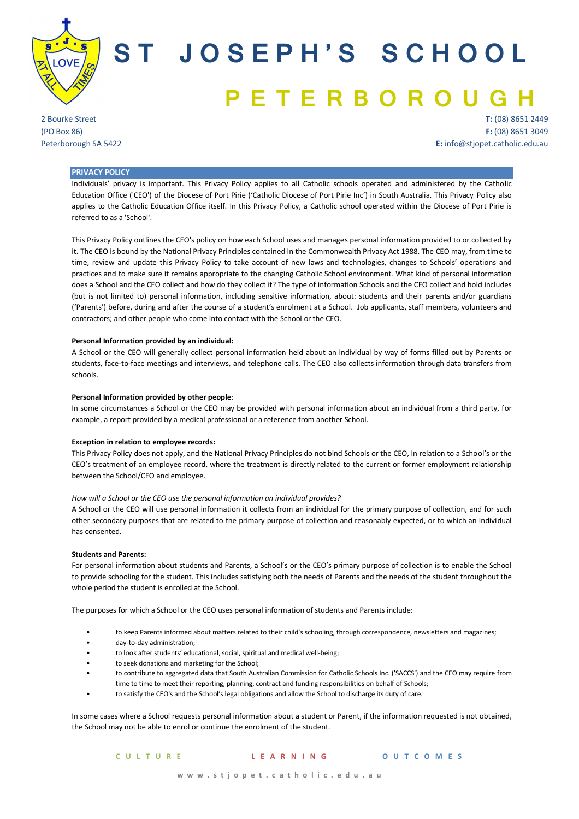

# **ST JOSEPH'S SCHOOL PETERBOROU**

2 Bourke Street (PO Box 86) Peterborough SA 5422

**T:** (08) 8651 2449 **F:** (08) 8651 3049 **E:** info@stjopet.catholic.edu.au

## **PRIVACY POLICY**

Individuals' privacy is important. This Privacy Policy applies to all Catholic schools operated and administered by the Catholic Education Office ('CEO') of the Diocese of Port Pirie ('Catholic Diocese of Port Pirie Inc') in South Australia. This Privacy Policy also applies to the Catholic Education Office itself. In this Privacy Policy, a Catholic school operated within the Diocese of Port Pirie is referred to as a 'School'.

This Privacy Policy outlines the CEO's policy on how each School uses and manages personal information provided to or collected by it. The CEO is bound by the National Privacy Principles contained in the Commonwealth Privacy Act 1988. The CEO may, from time to time, review and update this Privacy Policy to take account of new laws and technologies, changes to Schools' operations and practices and to make sure it remains appropriate to the changing Catholic School environment. What kind of personal information does a School and the CEO collect and how do they collect it? The type of information Schools and the CEO collect and hold includes (but is not limited to) personal information, including sensitive information, about: students and their parents and/or guardians ('Parents') before, during and after the course of a student's enrolment at a School. Job applicants, staff members, volunteers and contractors; and other people who come into contact with the School or the CEO.

#### **Personal Information provided by an individual:**

A School or the CEO will generally collect personal information held about an individual by way of forms filled out by Parents or students, face-to-face meetings and interviews, and telephone calls. The CEO also collects information through data transfers from schools.

#### **Personal Information provided by other people**:

In some circumstances a School or the CEO may be provided with personal information about an individual from a third party, for example, a report provided by a medical professional or a reference from another School.

#### **Exception in relation to employee records:**

This Privacy Policy does not apply, and the National Privacy Principles do not bind Schools or the CEO, in relation to a School's or the CEO's treatment of an employee record, where the treatment is directly related to the current or former employment relationship between the School/CEO and employee.

#### *How will a School or the CEO use the personal information an individual provides?*

A School or the CEO will use personal information it collects from an individual for the primary purpose of collection, and for such other secondary purposes that are related to the primary purpose of collection and reasonably expected, or to which an individual has consented.

## **Students and Parents:**

For personal information about students and Parents, a School's or the CEO's primary purpose of collection is to enable the School to provide schooling for the student. This includes satisfying both the needs of Parents and the needs of the student throughout the whole period the student is enrolled at the School.

The purposes for which a School or the CEO uses personal information of students and Parents include:

- to keep Parents informed about matters related to their child's schooling, through correspondence, newsletters and magazines;
- day-to-day administration;
- to look after students' educational, social, spiritual and medical well-being;
- to seek donations and marketing for the School;
- to contribute to aggregated data that South Australian Commission for Catholic Schools Inc. ('SACCS') and the CEO may require from time to time to meet their reporting, planning, contract and funding responsibilities on behalf of Schools;
- to satisfy the CEO's and the School's legal obligations and allow the School to discharge its duty of care.

In some cases where a School requests personal information about a student or Parent, if the information requested is not obtained, the School may not be able to enrol or continue the enrolment of the student.

## **CULTURE LEARNING OUTCOMES**

 **www.stjopet.catholic.edu.au**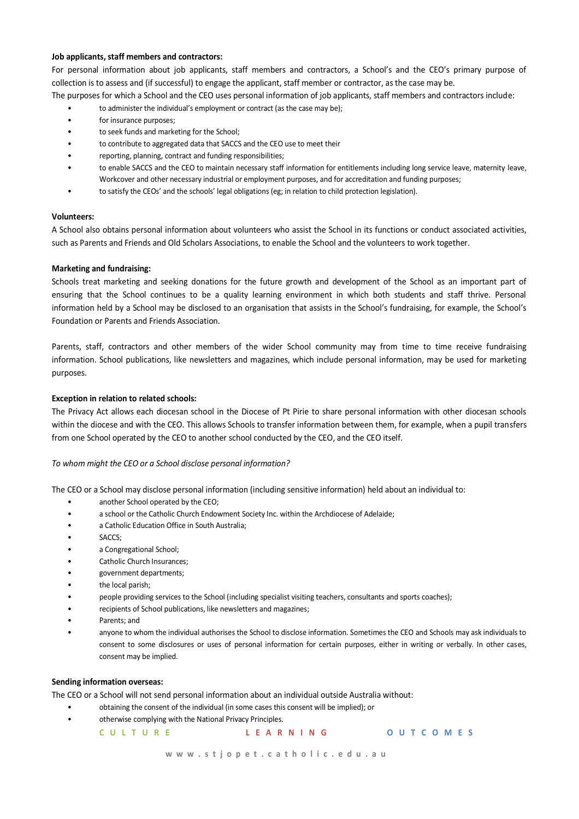## **Job applicants, staff members and contractors:**

For personal information about job applicants, staff members and contractors, a School's and the CEO's primary purpose of collection is to assess and (if successful) to engage the applicant, staff member or contractor, as the case may be.

- The purposes for which a School and the CEO uses personal information of job applicants, staff members and contractors include:
	- to administer the individual's employment or contract (as the case may be);
	- for insurance purposes;
	- to seek funds and marketing for the School;
	- to contribute to aggregated data that SACCS and the CEO use to meet their
	- reporting, planning, contract and funding responsibilities;
	- to enable SACCS and the CEO to maintain necessary staff information for entitlements including long service leave, maternity leave, Workcover and other necessary industrial or employment purposes, and for accreditation and funding purposes;
	- to satisfy the CEOs' and the schools' legal obligations (eg; in relation to child protection legislation).

# **Volunteers:**

A School also obtains personal information about volunteers who assist the School in its functions or conduct associated activities, such as Parents and Friends and Old Scholars Associations, to enable the School and the volunteers to work together.

# **Marketing and fundraising:**

Schools treat marketing and seeking donations for the future growth and development of the School as an important part of ensuring that the School continues to be a quality learning environment in which both students and staff thrive. Personal information held by a School may be disclosed to an organisation that assists in the School's fundraising, for example, the School's Foundation or Parents and Friends Association.

Parents, staff, contractors and other members of the wider School community may from time to time receive fundraising information. School publications, like newsletters and magazines, which include personal information, may be used for marketing purposes.

# **Exception in relation to related schools:**

The Privacy Act allows each diocesan school in the Diocese of Pt Pirie to share personal information with other diocesan schools within the diocese and with the CEO. This allows Schools to transfer information between them, for example, when a pupil transfers from one School operated by the CEO to another school conducted by the CEO, and the CEO itself.

# *To whom might the CEO or a School disclose personal information?*

The CEO or a School may disclose personal information (including sensitive information) held about an individual to:

- another School operated by the CEO;
- a school or the Catholic Church Endowment Society Inc. within the Archdiocese of Adelaide;
- a Catholic Education Office in South Australia;
- SACCS:
- a Congregational School;
- Catholic Church Insurances;
- government departments;
- the local parish;
- people providing services to the School (including specialist visiting teachers, consultants and sports coaches);
- recipients of School publications, like newsletters and magazines;
- Parents; and
- anyone to whom the individual authorises the School to disclose information. Sometimes the CEO and Schools may ask individuals to consent to some disclosures or uses of personal information for certain purposes, either in writing or verbally. In other cases, consent may be implied.

## **Sending information overseas:**

The CEO or a School will not send personal information about an individual outside Australia without:

- obtaining the consent of the individual (in some cases this consent will be implied); or
- otherwise complying with the National Privacy Principles.

| <b>CULTURE</b> | LEARNING | <b>OUTCOMES</b> |
|----------------|----------|-----------------|
|                |          |                 |